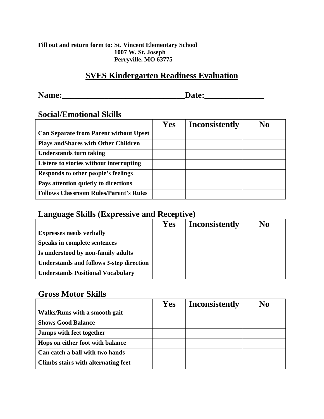#### **Fill out and return form to: St. Vincent Elementary School 1007 W. St. Joseph Perryville, MO 63775**

### **SVES Kindergarten Readiness Evaluation**

**Name:\_\_\_\_\_\_\_\_\_\_\_\_\_\_\_\_\_\_\_\_\_\_\_\_\_\_\_\_\_Date:\_\_\_\_\_\_\_\_\_\_\_\_\_\_** 

#### **Social/Emotional Skills**

|                                               | <b>Yes</b> | <b>Inconsistently</b> | No |
|-----------------------------------------------|------------|-----------------------|----|
| <b>Can Separate from Parent without Upset</b> |            |                       |    |
| <b>Plays and Shares with Other Children</b>   |            |                       |    |
| <b>Understands turn taking</b>                |            |                       |    |
| Listens to stories without interrupting       |            |                       |    |
| Responds to other people's feelings           |            |                       |    |
| Pays attention quietly to directions          |            |                       |    |
| <b>Follows Classroom Rules/Parent's Rules</b> |            |                       |    |

### **Language Skills (Expressive and Receptive)**

|                                                 | Yes | <b>Inconsistently</b> | No |
|-------------------------------------------------|-----|-----------------------|----|
| <b>Expresses needs verbally</b>                 |     |                       |    |
| <b>Speaks in complete sentences</b>             |     |                       |    |
| Is understood by non-family adults              |     |                       |    |
| <b>Understands and follows 3-step direction</b> |     |                       |    |
| <b>Understands Positional Vocabulary</b>        |     |                       |    |

### **Gross Motor Skills**

|                                     | Yes | <b>Inconsistently</b> | No |
|-------------------------------------|-----|-----------------------|----|
| Walks/Runs with a smooth gait       |     |                       |    |
| <b>Shows Good Balance</b>           |     |                       |    |
| Jumps with feet together            |     |                       |    |
| Hops on either foot with balance    |     |                       |    |
| Can catch a ball with two hands     |     |                       |    |
| Climbs stairs with alternating feet |     |                       |    |